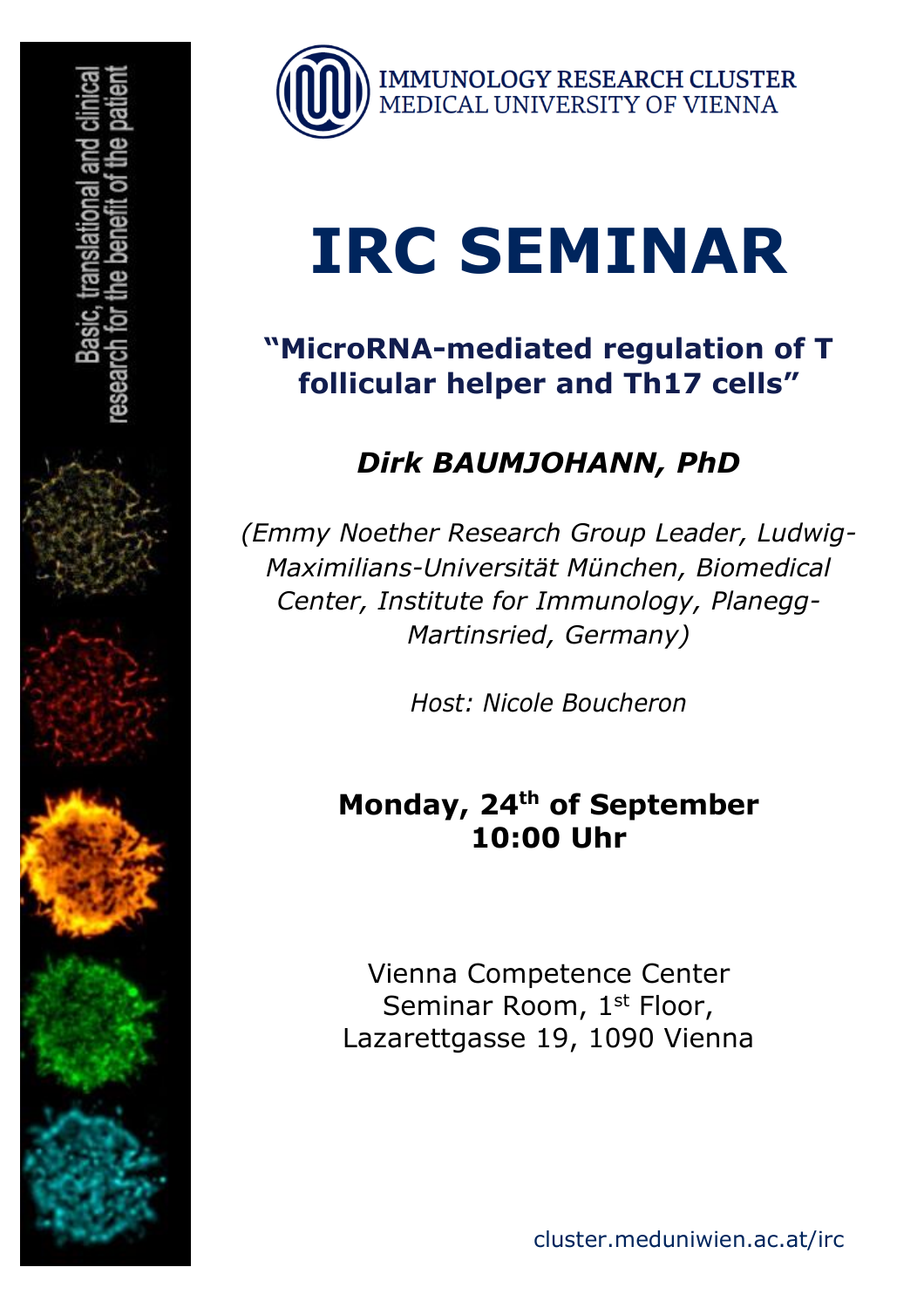

# **IRC SEMINAR**

#### **"MicroRNA-mediated regulation of T follicular helper and Th17 cells"**

### *Dirk BAUMJOHANN, PhD*

*(Emmy Noether Research Group Leader, Ludwig-Maximilians-Universität München, Biomedical Center, Institute for Immunology, Planegg-Martinsried, Germany)*

*Host: Nicole Boucheron*

#### **Monday, 24th of September 10:00 Uhr**

Vienna Competence Center Seminar Room, 1<sup>st</sup> Floor, Lazarettgasse 19, 1090 Vienna